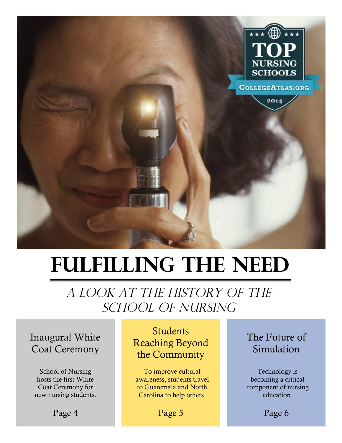

# **Fulfilling the Need**

# A LOOK AT THE HISTORY OF THE SCHOOL OF NURSING

### Inaugural White Coat Ceremony

School of Nursing hosts the first White Coat Ceremony for new nursing students.

Page 4

Students Reaching Beyond the Community

To improve cultural awareness, students travel to Guatemala and North Carolina to help others.

### The Future of Simulation

Technology is becoming a critical component of nursing education.

Page 6

Page 5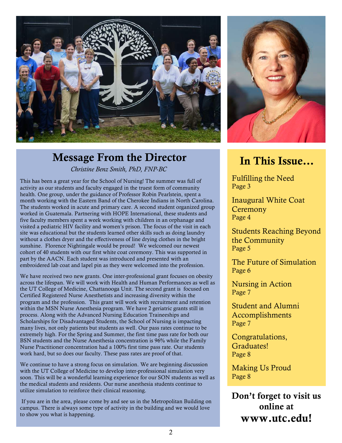

## Message From the Director

*Christine Benz Smith, PhD, FNP-BC*

This has been a great year for the School of Nursing! The summer was full of activity as our students and faculty engaged in the truest form of community health. One group, under the guidance of Professor Robin Pearlstein, spent a month working with the Eastern Band of the Cherokee Indians in North Carolina. The students worked in acute and primary care. A second student organized group worked in Guatemala. Partnering with HOPE International, these students and five faculty members spent a week working with children in an orphanage and visited a pediatric HIV facility and women's prison. The focus of the visit in each site was educational but the students learned other skills such as doing laundry without a clothes dryer and the effectiveness of line drying clothes in the bright sunshine. Florence Nightingale would be proud! We welcomed our newest cohort of 40 students with our first white coat ceremony. This was supported in part by the AACN. Each student was introduced and presented with an embroidered lab coat and lapel pin as they were welcomed into the profession.

We have received two new grants. One inter-professional grant focuses on obesity across the lifespan. We will work with Health and Human Performances as well as the UT College of Medicine, Chattanooga Unit. The second grant is focused on Certified Registered Nurse Anesthetists and increasing diversity within the program and the profession. This grant will work with recruitment and retention within the MSN Nurse Anesthesia program. We have 2 geriatric grants still in process. Along with the Advanced Nursing Education Traineeships and Scholarships for Disadvantaged Students, the School of Nursing is impacting many lives, not only patients but students as well. Our pass rates continue to be extremely high. For the Spring and Summer, the first time pass rate for both our BSN students and the Nurse Anesthesia concentration is 96% while the Family Nurse Practitioner concentration had a 100% first time pass rate. Our students work hard, but so does our faculty. These pass rates are proof of that.

We continue to have a strong focus on simulation. We are beginning discussion with the UT College of Medicine to develop inter-professional simulation very soon. This will be a wonderful learning experience for our SON students as well as the medical students and residents. Our nurse anesthesia students continue to utilize simulation to reinforce their clinical reasoning.

If you are in the area, please come by and see us in the Metropolitan Building on campus. There is always some type of activity in the building and we would love to show you what is happening.



# In This Issue…

Fulfilling the Need Page 3

Inaugural White Coat **Ceremony** Page 4

Students Reaching Beyond the Community Page 5

The Future of Simulation Page 6

Nursing in Action Page 7

Student and Alumni Accomplishments Page 7

Congratulations, Graduates! Page 8

Making Us Proud Page 8

Don't forget to visit us online at www.utc.edu!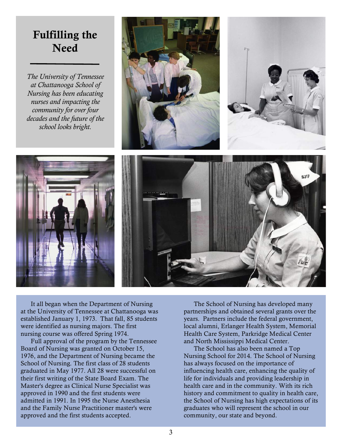### Fulfilling the Need

*The University of Tennessee at Chattanooga School of Nursing has been educating nurses and impacting the community for over four decades and the future of the school looks bright.* 









It all began when the Department of Nursing at the University of Tennessee at Chattanooga was established January 1, 1973. That fall, 85 students were identified as nursing majors. The first nursing course was offered Spring 1974.

Full approval of the program by the Tennessee Board of Nursing was granted on October 15, 1976, and the Department of Nursing became the School of Nursing. The first class of 28 students graduated in May 1977. All 28 were successful on their first writing of the State Board Exam. The Master's degree as Clinical Nurse Specialist was approved in 1990 and the first students were admitted in 1991. In 1995 the Nurse Anesthesia and the Family Nurse Practitioner master's were approved and the first students accepted.

The School of Nursing has developed many partnerships and obtained several grants over the years. Partners include the federal government, local alumni, Erlanger Health System, Memorial Health Care System, Parkridge Medical Center and North Mississippi Medical Center.

The School has also been named a Top Nursing School for 2014. The School of Nursing has always focused on the importance of influencing health care, enhancing the quality of life for individuals and providing leadership in health care and in the community. With its rich history and commitment to quality in health care, the School of Nursing has high expectations of its graduates who will represent the school in our community, our state and beyond.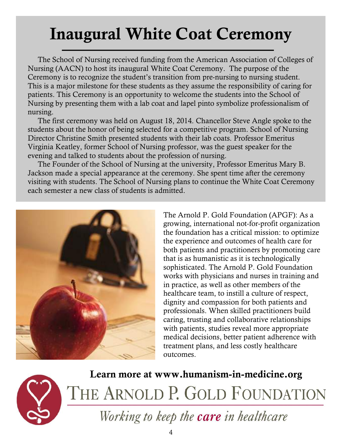# Inaugural White Coat Ceremony

The School of Nursing received funding from the American Association of Colleges of Nursing (AACN) to host its inaugural White Coat Ceremony. The purpose of the Ceremony is to recognize the student's transition from pre-nursing to nursing student. This is a major milestone for these students as they assume the responsibility of caring for patients. This Ceremony is an opportunity to welcome the students into the School of Nursing by presenting them with a lab coat and lapel pinto symbolize professionalism of nursing.

The first ceremony was held on August 18, 2014. Chancellor Steve Angle spoke to the students about the honor of being selected for a competitive program. School of Nursing Director Christine Smith presented students with their lab coats. Professor Emeritus Virginia Keatley, former School of Nursing professor, was the guest speaker for the evening and talked to students about the profession of nursing.

The Founder of the School of Nursing at the university, Professor Emeritus Mary B. Jackson made a special appearance at the ceremony. She spent time after the ceremony visiting with students. The School of Nursing plans to continue the White Coat Ceremony each semester a new class of students is admitted.



The Arnold P. Gold Foundation (APGF): As a growing, international not-for-profit organization the foundation has a critical mission: to optimize the experience and outcomes of health care for both patients and practitioners by promoting care that is as humanistic as it is technologically sophisticated. The Arnold P. Gold Foundation works with physicians and nurses in training and in practice, as well as other members of the healthcare team, to instill a culture of respect, dignity and compassion for both patients and professionals. When skilled practitioners build caring, trusting and collaborative relationships with patients, studies reveal more appropriate medical decisions, better patient adherence with treatment plans, and less costly healthcare outcomes.



Learn more at www.humanism-in-medicine.orgTHE ARNOLD P. GOLD FOUNDATION

Working to keep the care in healthcare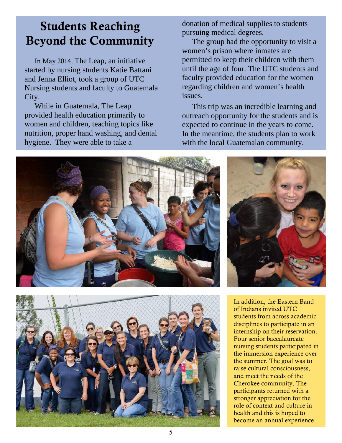# Students Reaching Beyond the Community

In May 2014, The Leap, an initiative started by nursing students Katie Battani and Jenna Elliot, took a group of UTC Nursing students and faculty to Guatemala City.

While in Guatemala, The Leap provided health education primarily to women and children, teaching topics like nutrition, proper hand washing, and dental hygiene. They were able to take a

donation of medical supplies to students pursuing medical degrees.

The group had the opportunity to visit a women's prison where inmates are permitted to keep their children with them until the age of four. The UTC students and faculty provided education for the women regarding children and women's health issues.

This trip was an incredible learning and outreach opportunity for the students and is expected to continue in the years to come. In the meantime, the students plan to work with the local Guatemalan community.





In addition, the Eastern Band of Indians invited UTC students from across academic disciplines to participate in an internship on their reservation. Four senior baccalaureate nursing students participated in the immersion experience over the summer. The goal was to raise cultural consciousness, and meet the needs of the Cherokee community. The participants returned with a stronger appreciation for the role of context and culture in health and this is hoped to

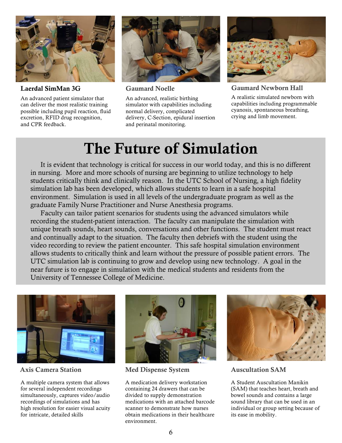

Laerdal SimMan 3G

An advanced patient simulator that can deliver the most realistic training possible including pupil reaction, fluid excretion, RFID drug recognition, and CPR feedback.



Gaumard Noelle

An advanced, realistic birthing simulator with capabilities including normal delivery, complicated delivery, C-Section, epidural insertion and perinatal monitoring.



Gaumard Newborn Hall

A realistic simulated newborn with capabilities including programmable cyanosis, spontaneous breathing, crying and limb movement.

# The Future of Simulation

It is evident that technology is critical for success in our world today, and this is no different in nursing. More and more schools of nursing are beginning to utilize technology to help students critically think and clinically reason. In the UTC School of Nursing, a high fidelity simulation lab has been developed, which allows students to learn in a safe hospital environment. Simulation is used in all levels of the undergraduate program as well as the graduate Family Nurse Practitioner and Nurse Anesthesia programs.

Faculty can tailor patient scenarios for students using the advanced simulators while recording the student-patient interaction. The faculty can manipulate the simulation with unique breath sounds, heart sounds, conversations and other functions. The student must react and continually adapt to the situation. The faculty then debriefs with the student using the video recording to review the patient encounter. This safe hospital simulation environment allows students to critically think and learn without the pressure of possible patient errors. The UTC simulation lab is continuing to grow and develop using new technology. A goal in the near future is to engage in simulation with the medical students and residents from the University of Tennessee College of Medicine.



Axis Camera Station

A multiple camera system that allows for several independent recordings simultaneously, captures video/audio recordings of simulations and has high resolution for easier visual acuity for intricate, detailed skills



Med Dispense System

A medication delivery workstation containing 24 drawers that can be divided to supply demonstration medications with an attached barcode scanner to demonstrate how nurses obtain medications in their healthcare environment.



Auscultation SAM

A Student Auscultation Manikin (SAM) that teaches heart, breath and bowel sounds and contains a large sound library that can be used in an individual or group setting because of its ease in mobility.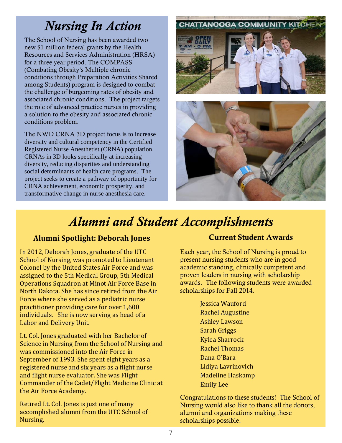# *Nursing In Action*

The School of Nursing has been awarded two new \$1 million federal grants by the Health Resources and Services Administration (HRSA) for a three year period. The COMPASS (Combating Obesity's Multiple chronic conditions through Preparation Activities Shared among Students) program is designed to combat the challenge of burgeoning rates of obesity and associated chronic conditions. The project targets the role of advanced practice nurses in providing a solution to the obesity and associated chronic conditions problem.

The NWD CRNA 3D project focus is to increase diversity and cultural competency in the Certified Registered Nurse Anesthetist (CRNA) population. CRNAs in 3D looks specifically at increasing diversity, reducing disparities and understanding social determinants of health care programs. The project seeks to create a pathway of opportunity for CRNA achievement, economic prosperity, and transformative change in nurse anesthesia care.





# *Alumni and Student Accomplishments*

### **Alumni Spotlight: Deborah Jones**

In 2012, Deborah Jones, graduate of the UTC School of Nursing, was promoted to Lieutenant Colonel by the United States Air Force and was assigned to the 5th Medical Group, 5th Medical Operations Squadron at Minot Air Force Base in North Dakota. She has since retired from the Air Force where she served as a pediatric nurse practitioner providing care for over 1,600 individuals. She is now serving as head of a Labor and Delivery Unit.

Lt. Col. Jones graduated with her Bachelor of Science in Nursing from the School of Nursing and was commissioned into the Air Force in September of 1993. She spent eight years as a registered nurse and six years as a flight nurse and flight nurse evaluator. She was Flight Commander of the Cadet/Flight Medicine Clinic at the Air Force Academy.

Retired Lt. Col. Jones is just one of many accomplished alumni from the UTC School of Nursing.

### Current Student Awards

Each year, the School of Nursing is proud to present nursing students who are in good academic standing, clinically competent and proven leaders in nursing with scholarship awards. The following students were awarded scholarships for Fall 2014.

> Jessica Wauford **Rachel Augustine Ashley Lawson** Sarah Griggs Kylea Sharrock Rachel Thomas Dana O'Bara Lidiya Lavrinovich Madeline Haskamp Emily Lee

Congratulations to these students! The School of Nursing would also like to thank all the donors, alumni and organizations making these scholarships possible.